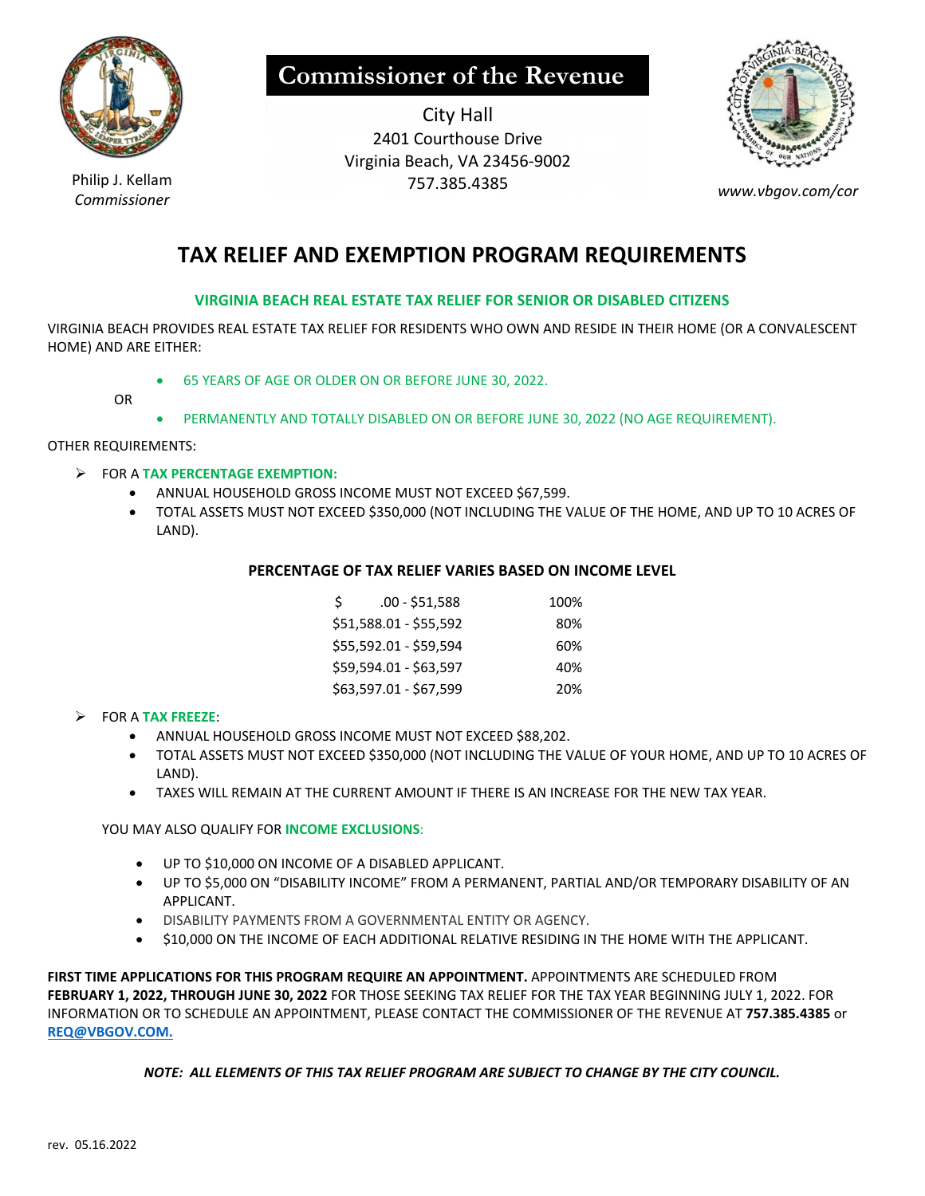

**Commissioner of the Revenue** 

City Hall 2401 Courthouse Drive Virginia Beach, VA 23456‐9002 Philip J. Kellam 757.385.4385<br>Commissioner



# **TAX RELIEF AND EXEMPTION PROGRAM REQUIREMENTS**

### **VIRGINIA BEACH REAL ESTATE TAX RELIEF FOR SENIOR OR DISABLED CITIZENS**

VIRGINIA BEACH PROVIDES REAL ESTATE TAX RELIEF FOR RESIDENTS WHO OWN AND RESIDE IN THEIR HOME (OR A CONVALESCENT HOME) AND ARE EITHER:

65 YEARS OF AGE OR OLDER ON OR BEFORE JUNE 30, 2022.

OR

PERMANENTLY AND TOTALLY DISABLED ON OR BEFORE JUNE 30, 2022 (NO AGE REQUIREMENT).

OTHER REQUIREMENTS:

- FOR A **TAX PERCENTAGE EXEMPTION:**
	- ANNUAL HOUSEHOLD GROSS INCOME MUST NOT EXCEED \$67,599.
	- TOTAL ASSETS MUST NOT EXCEED \$350,000 (NOT INCLUDING THE VALUE OF THE HOME, AND UP TO 10 ACRES OF LAND).

#### **PERCENTAGE OF TAX RELIEF VARIES BASED ON INCOME LEVEL**

|  | .00 - \$51,588         | 100% |
|--|------------------------|------|
|  | \$51,588.01 - \$55,592 | 80%  |
|  | \$55,592.01 - \$59,594 | 60%  |
|  | \$59,594.01 - \$63,597 | 40%  |
|  | \$63,597.01 - \$67,599 | 20%  |
|  |                        |      |

#### FOR A **TAX FREEZE**:

- ANNUAL HOUSEHOLD GROSS INCOME MUST NOT EXCEED \$88,202.
- TOTAL ASSETS MUST NOT EXCEED \$350,000 (NOT INCLUDING THE VALUE OF YOUR HOME, AND UP TO 10 ACRES OF LAND).
- TAXES WILL REMAIN AT THE CURRENT AMOUNT IF THERE IS AN INCREASE FOR THE NEW TAX YEAR.

YOU MAY ALSO QUALIFY FOR **INCOME EXCLUSIONS**:

- UP TO \$10,000 ON INCOME OF A DISABLED APPLICANT.
- UP TO \$5,000 ON "DISABILITY INCOME" FROM A PERMANENT, PARTIAL AND/OR TEMPORARY DISABILITY OF AN APPLICANT.
- $\bullet$  DISABILITY PAYMENTS FROM A GOVERNMENTAL ENTITY OR AGENCY.
- $\bullet$  \$10,000 ON THE INCOME OF EACH ADDITIONAL RELATIVE RESIDING IN THE HOME WITH THE APPLICANT.

**FIRST TIME APPLICATIONS FOR THIS PROGRAM REQUIRE AN APPOINTMENT.** APPOINTMENTS ARE SCHEDULED FROM **FEBRUARY 1, 2022, THROUGH JUNE 30, 2022** FOR THOSE SEEKING TAX RELIEF FOR THE TAX YEAR BEGINNING JULY 1, 2022. FOR INFORMATION OR TO SCHEDULE AN APPOINTMENT, PLEASE CONTACT THE COMMISSIONER OF THE REVENUE AT **757.385.4385** or **REQ@VBGOV.COM.**

*NOTE: ALL ELEMENTS OF THIS TAX RELIEF PROGRAM ARE SUBJECT TO CHANGE BY THE CITY COUNCIL.*

*Commissioner www.vbgov.com/cor*